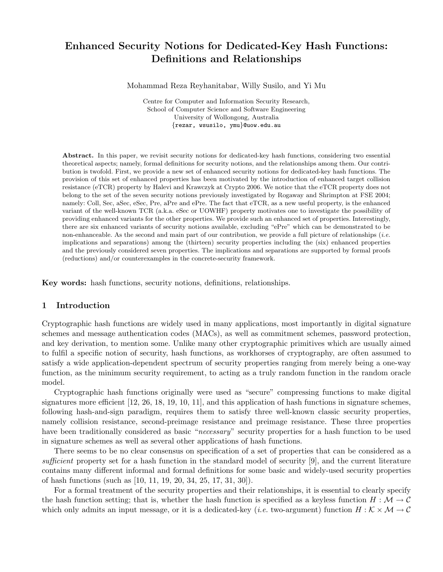## Enhanced Security Notions for Dedicated-Key Hash Functions: Definitions and Relationships

Mohammad Reza Reyhanitabar, Willy Susilo, and Yi Mu

Centre for Computer and Information Security Research, School of Computer Science and Software Engineering University of Wollongong, Australia {rezar, wsusilo, ymu}@uow.edu.au

Abstract. In this paper, we revisit security notions for dedicated-key hash functions, considering two essential theoretical aspects; namely, formal definitions for security notions, and the relationships among them. Our contribution is twofold. First, we provide a new set of enhanced security notions for dedicated-key hash functions. The provision of this set of enhanced properties has been motivated by the introduction of enhanced target collision resistance (eTCR) property by Halevi and Krawczyk at Crypto 2006. We notice that the eTCR property does not belong to the set of the seven security notions previously investigated by Rogaway and Shrimpton at FSE 2004; namely: Coll, Sec, aSec, eSec, Pre, aPre and ePre. The fact that eTCR, as a new useful property, is the enhanced variant of the well-known TCR (a.k.a. eSec or UOWHF) property motivates one to investigate the possibility of providing enhanced variants for the other properties. We provide such an enhanced set of properties. Interestingly, there are six enhanced variants of security notions available, excluding "ePre" which can be demonstrated to be non-enhanceable. As the second and main part of our contribution, we provide a full picture of relationships  $(i.e.$ implications and separations) among the (thirteen) security properties including the (six) enhanced properties and the previously considered seven properties. The implications and separations are supported by formal proofs (reductions) and/or counterexamples in the concrete-security framework.

Key words: hash functions, security notions, definitions, relationships.

### 1 Introduction

Cryptographic hash functions are widely used in many applications, most importantly in digital signature schemes and message authentication codes (MACs), as well as commitment schemes, password protection, and key derivation, to mention some. Unlike many other cryptographic primitives which are usually aimed to fulfil a specific notion of security, hash functions, as workhorses of cryptography, are often assumed to satisfy a wide application-dependent spectrum of security properties ranging from merely being a one-way function, as the minimum security requirement, to acting as a truly random function in the random oracle model.

Cryptographic hash functions originally were used as "secure" compressing functions to make digital signatures more efficient  $[12, 26, 18, 19, 10, 11]$ , and this application of hash functions in signature schemes, following hash-and-sign paradigm, requires them to satisfy three well-known classic security properties, namely collision resistance, second-preimage resistance and preimage resistance. These three properties have been traditionally considered as basic "necessary" security properties for a hash function to be used in signature schemes as well as several other applications of hash functions.

There seems to be no clear consensus on specification of a set of properties that can be considered as a sufficient property set for a hash function in the standard model of security [9], and the current literature contains many different informal and formal definitions for some basic and widely-used security properties of hash functions (such as [10, 11, 19, 20, 34, 25, 17, 31, 30]).

For a formal treatment of the security properties and their relationships, it is essential to clearly specify the hash function setting; that is, whether the hash function is specified as a keyless function  $H : \mathcal{M} \to \mathcal{C}$ which only admits an input message, or it is a dedicated-key (*i.e.* two-argument) function  $H : \mathcal{K} \times \mathcal{M} \to \mathcal{C}$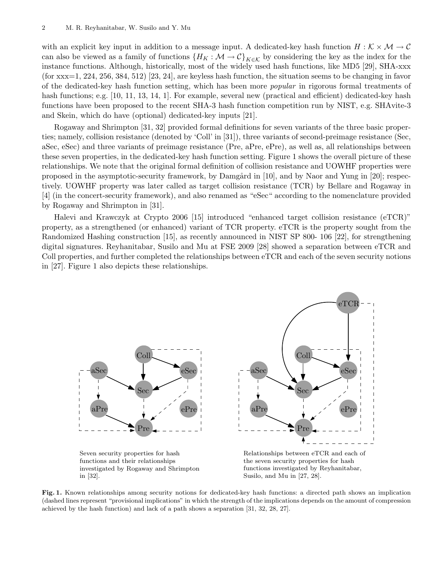with an explicit key input in addition to a message input. A dedicated-key hash function  $H : \mathcal{K} \times \mathcal{M} \to \mathcal{C}$ can also be viewed as a family of functions  ${H_K : \mathcal{M} \to \mathcal{C}}_{K \in \mathcal{K}}$  by considering the key as the index for the instance functions. Although, historically, most of the widely used hash functions, like MD5 [29], SHA-xxx (for  $xxx=1$ , 224, 256, 384, 512) [23, 24], are keyless hash function, the situation seems to be changing in favor of the dedicated-key hash function setting, which has been more popular in rigorous formal treatments of hash functions; e.g. [10, 11, 13, 14, 1]. For example, several new (practical and efficient) dedicated-key hash functions have been proposed to the recent SHA-3 hash function competition run by NIST, e.g. SHAvite-3 and Skein, which do have (optional) dedicated-key inputs [21].

Rogaway and Shrimpton [31, 32] provided formal definitions for seven variants of the three basic properties; namely, collision resistance (denoted by 'Coll' in [31]), three variants of second-preimage resistance (Sec, aSec, eSec) and three variants of preimage resistance (Pre, aPre, ePre), as well as, all relationships between these seven properties, in the dedicated-key hash function setting. Figure 1 shows the overall picture of these relationships. We note that the original formal definition of collision resistance and UOWHF properties were proposed in the asymptotic-security framework, by Damgård in [10], and by Naor and Yung in [20]; respectively. UOWHF property was later called as target collision resistance (TCR) by Bellare and Rogaway in [4] (in the concert-security framework), and also renamed as "eSec" according to the nomenclature provided by Rogaway and Shrimpton in [31].

Halevi and Krawczyk at Crypto 2006 [15] introduced "enhanced target collision resistance (eTCR)" property, as a strengthened (or enhanced) variant of TCR property. eTCR is the property sought from the Randomized Hashing construction [15], as recently announced in NIST SP 800- 106 [22], for strengthening digital signatures. Reyhanitabar, Susilo and Mu at FSE 2009 [28] showed a separation between eTCR and Coll properties, and further completed the relationships between eTCR and each of the seven security notions in [27]. Figure 1 also depicts these relationships.



Fig. 1. Known relationships among security notions for dedicated-key hash functions: a directed path shows an implication (dashed lines represent "provisional implications" in which the strength of the implications depends on the amount of compression achieved by the hash function) and lack of a path shows a separation [31, 32, 28, 27].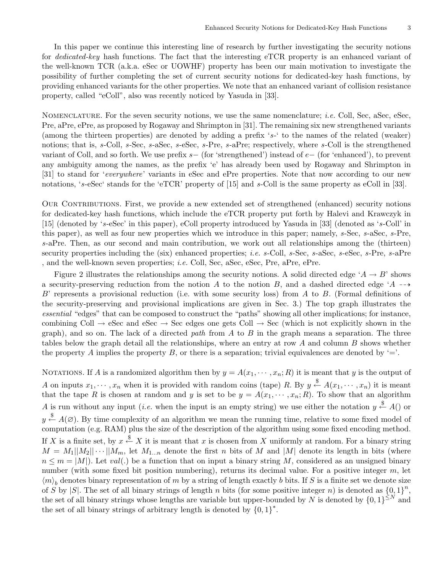In this paper we continue this interesting line of research by further investigating the security notions for dedicated-key hash functions. The fact that the interesting eTCR property is an enhanced variant of the well-known TCR (a.k.a. eSec or UOWHF) property has been our main motivation to investigate the possibility of further completing the set of current security notions for dedicated-key hash functions, by providing enhanced variants for the other properties. We note that an enhanced variant of collision resistance property, called "eColl", also was recently noticed by Yasuda in [33].

Nomenclature. For the seven security notions, we use the same nomenclature; i.e. Coll, Sec, aSec, eSec, Pre, aPre, ePre, as proposed by Rogaway and Shrimpton in [31]. The remaining six new strengthened variants (among the thirteen properties) are denoted by adding a prefix 's-' to the names of the related (weaker) notions; that is, s-Coll, s-Sec, s-aSec, s-eSec, s-Pre, s-aPre; respectively, where s-Coll is the strengthened variant of Coll, and so forth. We use prefix s− (for 'strengthened') instead of e− (for 'enhanced'), to prevent any ambiguity among the names, as the prefix 'e' has already been used by Rogaway and Shrimpton in [31] to stand for 'everywhere' variants in eSec and ePre properties. Note that now according to our new notations, 's-eSec' stands for the 'eTCR' property of [15] and s-Coll is the same property as eColl in [33].

OUR CONTRIBUTIONS. First, we provide a new extended set of strengthened (enhanced) security notions for dedicated-key hash functions, which include the eTCR property put forth by Halevi and Krawczyk in [15] (denoted by 's-eSec' in this paper), eColl property introduced by Yasuda in [33] (denoted as 's-Coll' in this paper), as well as four new properties which we introduce in this paper; namely, s-Sec, s-aSec, s-Pre, s-aPre. Then, as our second and main contribution, we work out all relationships among the (thirteen) security properties including the (six) enhanced properties; i.e. s-Coll, s-Sec, s-aSec, s-eSec, s-Pre, s-aPre , and the well-known seven properties; i.e. Coll, Sec, aSec, eSec, Pre, aPre, ePre.

Figure 2 illustrates the relationships among the security notions. A solid directed edge ' $A \rightarrow B$ ' shows a security-preserving reduction from the notion A to the notion B, and a dashed directed edge 'A  $-\rightarrow$  $B'$  represents a provisional reduction (i.e. with some security loss) from  $A$  to  $B$ . (Formal definitions of the security-preserving and provisional implications are given in Sec. 3.) The top graph illustrates the essential "edges" that can be composed to construct the "paths" showing all other implications; for instance, combining Coll  $\rightarrow$  eSec and eSec  $\rightarrow$  Sec edges one gets Coll  $\rightarrow$  Sec (which is not explicitly shown in the graph), and so on. The lack of a directed path from A to B in the graph means a separation. The three tables below the graph detail all the relationships, where an entry at row A and column B shows whether the property A implies the property B, or there is a separation; trivial equivalences are denoted by  $=$ .

NOTATIONS. If A is a randomized algorithm then by  $y = A(x_1, \dots, x_n; R)$  it is meant that y is the output of A on inputs  $x_1, \dots, x_n$  when it is provided with random coins (tape) R. By  $y \stackrel{\$}{\leftarrow} A(x_1, \dots, x_n)$  it is meant that the tape R is chosen at random and y is set to be  $y = A(x_1, \dots, x_n; R)$ . To show that an algorithm A is run without any input (*i.e.* when the input is an empty string) we use either the notation  $y \stackrel{\$}{\leftarrow} A()$  or  $y \stackrel{\$}{\leftarrow} A(\emptyset)$ . By time complexity of an algorithm we mean the running time, relative to some fixed model of computation (e.g. RAM) plus the size of the description of the algorithm using some fixed encoding method. If X is a finite set, by  $x \stackrel{\$}{\leftarrow} X$  it is meant that x is chosen from X uniformly at random. For a binary string  $M = M_1||M_2||\cdots||M_m$ , let  $M_{1...n}$  denote the first n bits of M and |M| denote its length in bits (where  $n \leq m = |M|$ ). Let val(.) be a function that on input a binary string M, considered as an unsigned binary number (with some fixed bit position numbering), returns its decimal value. For a positive integer  $m$ , let  $\langle m \rangle_b$  denotes binary representation of m by a string of length exactly b bits. If S is a finite set we denote size of S by |S|. The set of all binary strings of length n bits (for some positive integer n) is denoted as  $\{0,1\}^n$ , the set of all binary strings whose lengths are variable but upper-bounded by N is denoted by  $\{0,1\}^{\leq N}$  and the set of all binary strings of arbitrary length is denoted by  ${0,1}^*$ .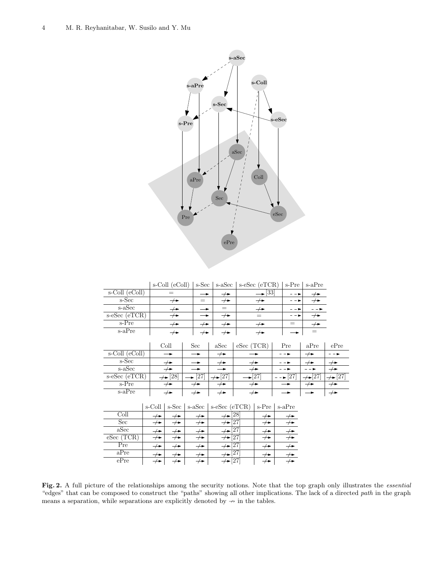

 $\mid$ s-Coll (eColl) $\mid$ s-Sec  $\mid$ s-aSec (eTCR)  $\mid$ s-Pre  $\mid$ s-aPre

| $s$ -Coll $(eColl)$ |  |   | ്റാ |  |
|---------------------|--|---|-----|--|
| s-Sec               |  | → |     |  |
| s-aSec              |  | - |     |  |
| $s$ -eSec (eTCR)    |  |   |     |  |
| $s$ -Pre            |  | ∸ |     |  |
| s-aPre              |  |   |     |  |
|                     |  |   |     |  |

|                     | Coll | Sec  | aSec | eSec(TCR) | Pre | aPre    | ePre |
|---------------------|------|------|------|-----------|-----|---------|------|
| s-Coll (eColl)      |      |      | ≁►   |           |     |         |      |
| s-Sec               |      |      | $+$  |           |     |         | $+$  |
| s-aSec              |      |      |      |           |     | $- - -$ | →    |
| $s$ -e $Sec$ (eTCR) | [28] | [27] | [27] | [27       | [27 | [97     | [27] |
| s-Pre               |      |      |      |           |     |         |      |
| $s-aPre$            |      | ≁►   | $+$  |           |     |         |      |

|           | S-COII                   | s-dec | s-abec                   | s-esec $(01 \text{ C}R)$ | s-rre                    | s-arre |
|-----------|--------------------------|-------|--------------------------|--------------------------|--------------------------|--------|
| Coll      | $\rightarrow$            | $+$   | $\overline{\phantom{a}}$ | $+$ [28]                 | $\rightarrow$            |        |
| Sec       | ≁                        | ≁►    | ≁                        | $+$ [27]                 | ≁                        |        |
| aSec      | $+$                      | ≁►    |                          | $+27$                    | $\rightarrow$            |        |
| eSec(TCR) | ≁                        | $+$   | $+$                      | $+$ [27]                 | ∸                        |        |
| Pre       |                          |       |                          | $\leftarrow$ [27]        | $\overline{\phantom{0}}$ |        |
| aPre      |                          |       |                          | $\blacksquare$ 27        | ∸                        |        |
| ePre      | $\overline{\phantom{a}}$ |       | $\rightarrow$            | $+$ [27]                 | $\overline{\phantom{a}}$ |        |

 $\left[ \begin{array}{c|c} \circ \text{Coll} & \circ \text{Soc} & \circ \text{Soc} & \circ \text{Soc} & \circ \text{CTCR} \end{array} \right]$  s-pre s-a Pre s-a-Pre s-a-Pre s-a-Pre s-a-Pre s-a-Pre s-a-Pre s-a-Pre s-a-Pre s-a-Pre s-a-Pre s-a-Pre s-a-Pre s-a-Pre s-a-Pre s-a-Pre s-a-Pre s-a-Pre s-a-

Fig. 2. A full picture of the relationships among the security notions. Note that the top graph only illustrates the *essential* "edges" that can be composed to construct the "paths" showing all other implications. The lack of a directed path in the graph means a separation, while separations are explicitly denoted by  $\rightarrow$  in the tables.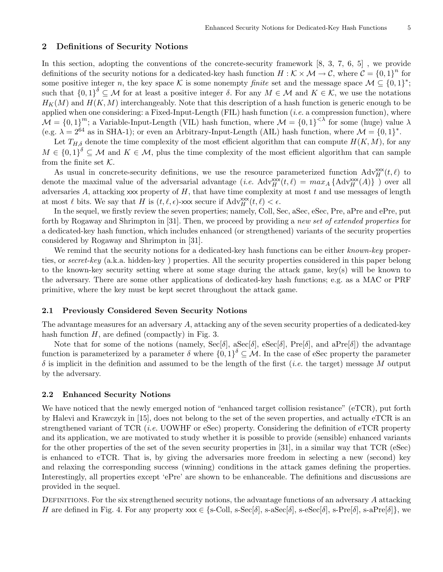#### 2 Definitions of Security Notions

In this section, adopting the conventions of the concrete-security framework [8, 3, 7, 6, 5], we provide definitions of the security notions for a dedicated-key hash function  $H : \mathcal{K} \times \mathcal{M} \to \mathcal{C}$ , where  $\mathcal{C} = \{0,1\}^n$  for some positive integer n, the key space K is some nonempty finite set and the message space  $\mathcal{M} \subseteq \{0,1\}^*$ ; such that  ${0,1}^{\delta} \subseteq M$  for at least a positive integer  $\delta$ . For any  $M \in \mathcal{M}$  and  $K \in \mathcal{K}$ , we use the notations  $H_K(M)$  and  $H(K, M)$  interchangeably. Note that this description of a hash function is generic enough to be applied when one considering: a Fixed-Input-Length (FIL) hash function  $(i.e.$  a compression function), where  $\mathcal{M} = \{0,1\}^{m}$ ; a Variable-Input-Length (VIL) hash function, where  $\mathcal{M} = \{0,1\}^{<\lambda}$  for some (huge) value  $\lambda$ (e.g.  $\lambda = 2^{64}$  as in SHA-1); or even an Arbitrary-Input-Length (AIL) hash function, where  $\mathcal{M} = \{0, 1\}^*$ .

Let  $T_{H,\delta}$  denote the time complexity of the most efficient algorithm that can compute  $H(K, M)$ , for any  $M \in \{0,1\}^{\delta} \subseteq \mathcal{M}$  and  $K \in \mathcal{M}$ , plus the time complexity of the most efficient algorithm that can sample from the finite set  $K$ .

As usual in concrete-security definitions, we use the resource parameterized function  $\text{Adv}_{H}^{\text{xxx}}(t,\ell)$  to denote the maximal value of the adversarial advantage (*i.e.*  $Adv_H^{xxx}(t, \ell) = max_A \{Adv_H^{xxx}(A)\}\)$  over all adversaries  $A$ , attacking xxx property of  $H$ , that have time complexity at most  $t$  and use messages of length at most  $\ell$  bits. We say that H is  $(t, \ell, \epsilon)$ -xxx secure if  $\text{Adv}_{H}^{\text{xxx}}(t, \ell) < \epsilon$ .

In the sequel, we firstly review the seven properties; namely, Coll, Sec, aSec, eSec, Pre, aPre and ePre, put forth by Rogaway and Shrimpton in [31]. Then, we proceed by providing a new set of extended properties for a dedicated-key hash function, which includes enhanced (or strengthened) variants of the security properties considered by Rogaway and Shrimpton in [31].

We remind that the security notions for a dedicated-key hash functions can be either known-key properties, or secret-key (a.k.a. hidden-key ) properties. All the security properties considered in this paper belong to the known-key security setting where at some stage during the attack game, key(s) will be known to the adversary. There are some other applications of dedicated-key hash functions; e.g. as a MAC or PRF primitive, where the key must be kept secret throughout the attack game.

#### 2.1 Previously Considered Seven Security Notions

The advantage measures for an adversary A, attacking any of the seven security properties of a dedicated-key hash function  $H$ , are defined (compactly) in Fig. 3.

Note that for some of the notions (namely,  $\text{Sec}[\delta]$ ,  $\text{Sec}[\delta]$ ,  $\text{Sec}[\delta]$ ,  $\text{Pre}[\delta]$ , and  $\text{aPre}[\delta]$ ) the advantage function is parameterized by a parameter  $\delta$  where  $\{0,1\}^{\delta} \subseteq \mathcal{M}$ . In the case of eSec property the parameter  $\delta$  is implicit in the definition and assumed to be the length of the first (*i.e.* the target) message M output by the adversary.

#### 2.2 Enhanced Security Notions

We have noticed that the newly emerged notion of "enhanced target collision resistance" (eTCR), put forth by Halevi and Krawczyk in [15], does not belong to the set of the seven properties, and actually eTCR is an strengthened variant of TCR (*i.e.* UOWHF or eSec) property. Considering the definition of eTCR property and its application, we are motivated to study whether it is possible to provide (sensible) enhanced variants for the other properties of the set of the seven security properties in [31], in a similar way that TCR (eSec) is enhanced to eTCR. That is, by giving the adversaries more freedom in selecting a new (second) key and relaxing the corresponding success (winning) conditions in the attack games defining the properties. Interestingly, all properties except 'ePre' are shown to be enhanceable. The definitions and discussions are provided in the sequel.

DEFINITIONS. For the six strengthened security notions, the advantage functions of an adversary A attacking H are defined in Fig. 4. For any property  $\mathsf{xxx} \in \{s\text{-Coll}, s\text{-}Sec[\delta], s\text{-}Sec[\delta], s\text{-}Pic[\delta], s\text{-}Pre[\delta], s\text{-}Are[\delta]\}$ , we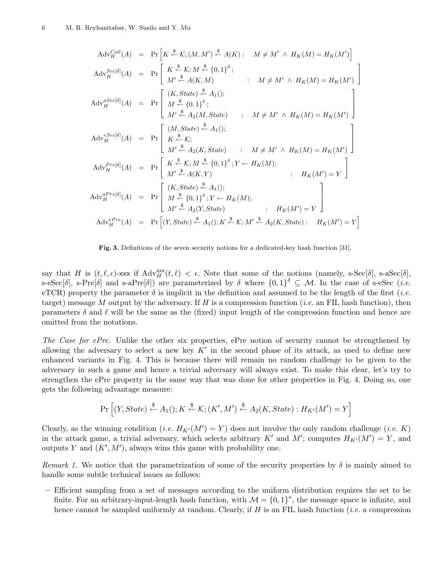$$
Adv_H^{Coll}(A) = Pr\left[K \stackrel{\$}{\leftarrow} K; (M, M') \stackrel{\$}{\leftarrow} A(K): M \neq M' \land H_K(M) = H_K(M')\right]
$$
\n
$$
Adv_H^{Sec[\delta]}(A) = Pr\left[K \stackrel{\$}{\leftarrow} K; M \stackrel{\$}{\leftarrow} \{0,1\}^{\delta}; \quad : M \neq M' \land H_K(M) = H_K(M')\right]
$$
\n
$$
Adv_H^{Sec[\delta]}(A) = Pr\left[M \stackrel{\$}{\leftarrow} A(K, M) : M \neq M' \land H_K(M) = H_K(M')\right]
$$
\n
$$
Adv_H^{Sec[\delta]}(A) = Pr\left[M \stackrel{\$}{\leftarrow} \{0,1\}^{\delta}; \quad M' \stackrel{\$}{\leftarrow} A_2(M, State) : M \neq M' \land H_K(M) = H_K(M')\right]
$$
\n
$$
Adv_H^{eSec[\delta]}(A) = Pr\left[K \stackrel{\$}{\leftarrow} K; \quad M' \stackrel{\$}{\leftarrow} A_2(K, State) : M \neq M' \land H_K(M) = H_K(M')\right]
$$
\n
$$
Adv_H^{Pre[\delta]}(A) = Pr\left[K \stackrel{\$}{\leftarrow} K; M \stackrel{\$}{\leftarrow} \{0,1\}^{\delta}; Y \leftarrow H_K(M); \quad : H_K(M') = Y\right]
$$
\n
$$
Adv_H^{Pre[\delta]}(A) = Pr\left[M \stackrel{\$}{\leftarrow} A(K, Y) : H_K(M) = H_K(M') = Y\right]
$$
\n
$$
Adv_H^{Pre[\delta]}(A) = Pr\left[M \stackrel{\$}{\leftarrow} \{0,1\}^{\delta}; Y \leftarrow H_K(M); \quad : H_K(M') = Y\right]
$$
\n
$$
Adv_H^{ePre[\delta]}(A) = Pr\left[(K, State) \stackrel{\$}{\leftarrow} A_1(); K \stackrel{\$}{\leftarrow} K; M' \stackrel{\$}{\leftarrow} A_2(K, State) : H_K(M') = Y\right]
$$

Fig. 3. Definitions of the seven security notions for a dedicated-key hash function [31].

say that H is  $(t, \ell, \epsilon)$ -xxx if  $\text{Adv}_{H}^{\text{xxx}}(t, \ell) < \epsilon$ . Note that some of the notions (namely, s-Sec[ $\delta$ ], s-aSec[ $\delta$ ], s-eSec[ $\delta$ ], s-Pre[ $\delta$ ] and s-aPre[ $\delta$ ]) are parameterized by  $\delta$  where  $\{0,1\}^{\delta} \subseteq \mathcal{M}$ . In the case of s-eSec (*i.e.* eTCR) property the parameter  $\delta$  is implicit in the definition and assumed to be the length of the first (*i.e.* target) message M output by the adversary. If H is a compression function (*i.e.* an FIL hash function), then parameters  $\delta$  and  $\ell$  will be the same as the (fixed) input length of the compression function and hence are omitted from the notations.

The Case for ePre. Unlike the other six properties, ePre notion of security cannot be strengthened by allowing the adversary to select a new key  $K'$  in the second phase of its attack, as used to define new enhanced variants in Fig. 4. This is because there will remain no random challenge to be given to the adversary in such a game and hence a trivial adversary will always exist. To make this clear, let's try to strengthen the ePre property in the same way that was done for other properties in Fig. 4. Doing so, one gets the following advantage measure:

$$
\Pr\left[(Y, State) \stackrel{\$}{\leftarrow} A_1(); K \stackrel{\$}{\leftarrow} \mathcal{K}; (K', M') \stackrel{\$}{\leftarrow} A_2(K, State) : H_{K'}(M') = Y\right]
$$

Clearly, as the winning condition (*i.e.*  $H_{K'}(M') = Y$ ) does not involve the only random challenge (*i.e.* K) in the attack game, a trivial adversary, which selects arbitrary K' and M'; computes  $H_{K'}(M') = Y$ , and outputs Y and  $(K', M')$ , always wins this game with probability one.

Remark 1. We notice that the parametrization of some of the security properties by  $\delta$  is mainly aimed to handle some subtle technical issues as follows:

– Efficient sampling from a set of messages according to the uniform distribution requires the set to be finite. For an arbitrary-input-length hash function, with  $\mathcal{M} = \{0, 1\}^*$ , the message space is infinite, and hence cannot be sampled uniformly at random. Clearly, if  $H$  is an FIL hash function (*i.e.* a compression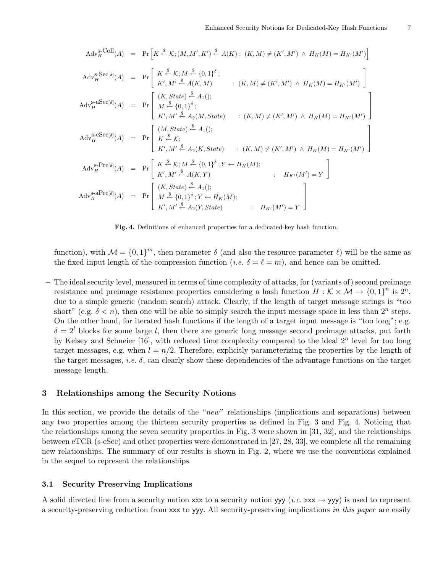$$
Adv_{H}^{S\text{-Coll}}(A) = \Pr\left[K \stackrel{\$}{\leftarrow} K; (M, M', K') \stackrel{\$}{\leftarrow} A(K) : (K, M) \neq (K', M') \land H_{K}(M) = H_{K'}(M')\right]
$$
\n
$$
Adv_{H}^{S\text{-}Sec[\delta]}(A) = \Pr\left[K \stackrel{\$}{\leftarrow} K; M \stackrel{\$}{\leftarrow} A(K, M) : (K, M) \neq (K', M') \land H_{K}(M) = H_{K'}(M')\right]\right]
$$
\n
$$
Adv_{H}^{S\text{-}aSec[\delta]}(A) = \Pr\left[K \stackrel{\$}{\leftarrow} K; M \stackrel{\$}{\leftarrow} A_{1}(K, M) : (K, M) \neq (K', M') \land H_{K}(M) = H_{K'}(M')\right]\right]
$$
\n
$$
Adv_{H}^{S\text{-}aSec[\delta]}(A) = \Pr\left[K \stackrel{\$}{\leftarrow} A_{2}(M, State) : (K, M) \neq (K', M') \land H_{K}(M) = H_{K'}(M')\right]\right]
$$
\n
$$
Adv_{H}^{S\text{-}eSec[\delta]}(A) = \Pr\left[K \stackrel{\$}{\leftarrow} K; K; M \stackrel{\$}{\leftarrow} A_{2}(K, State) : (K, M) \neq (K', M') \land H_{K}(M) = H_{K'}(M')\right]\right]
$$
\n
$$
Adv_{H}^{S\text{-}Pre[\delta]}(A) = \Pr\left[K \stackrel{\$}{\leftarrow} K; M \stackrel{\$}{\leftarrow} A_{2}(K, State) : (K, M) \neq (K', M') \land H_{K}(M) = H_{K'}(M')\right]\right]
$$
\n
$$
Adv_{H}^{S\text{-}aPre[\delta]}(A) = \Pr\left[K \stackrel{\$}{\leftarrow} K; M \stackrel{\$}{\leftarrow} A_{2}(K, State) : H_{K'}(M') = Y\right]\right]
$$
\n
$$
Adv_{H}^{S\text{-}aPre[\delta]}(A) = \Pr\left[K \stackrel{\$}{\leftarrow} A; (0,1)^{\delta}; Y \leftarrow H_{K}(M); M \neq (M') = Y\right]
$$

Fig. 4. Definitions of enhanced properties for a dedicated-key hash function.

function), with  $\mathcal{M} = \{0,1\}^m$ , then parameter  $\delta$  (and also the resource parameter  $\ell$ ) will be the same as the fixed input length of the compression function (*i.e.*  $\delta = \ell = m$ ), and hence can be omitted.

– The ideal security level, measured in terms of time complexity of attacks, for (variants of) second preimage resistance and preimage resistance properties considering a hash function  $H: \mathcal{K} \times \mathcal{M} \to \{0,1\}^n$  is  $2^n$ , due to a simple generic (random search) attack. Clearly, if the length of target message strings is "too short" (e.g.  $\delta < n$ ), then one will be able to simply search the input message space in less than  $2^n$  steps. On the other hand, for iterated hash functions if the length of a target input message is "too long"; e.g.  $\delta = 2^l$  blocks for some large l, then there are generic long message second preimage attacks, put forth by Kelsey and Schneier  $[16]$ , with reduced time complexity compared to the ideal  $2^n$  level for too long target messages, e.g. when  $l = n/2$ . Therefore, explicitly parameterizing the properties by the length of the target messages, *i.e.*  $\delta$ , can clearly show these dependencies of the advantage functions on the target message length.

#### 3 Relationships among the Security Notions

In this section, we provide the details of the "new" relationships (implications and separations) between any two properties among the thirteen security properties as defined in Fig. 3 and Fig. 4. Noticing that the relationships among the seven security properties in Fig. 3 were shown in [31, 32], and the relationships between eTCR (s-eSec) and other properties were demonstrated in [27, 28, 33], we complete all the remaining new relationships. The summary of our results is shown in Fig. 2, where we use the conventions explained in the sequel to represent the relationships.

#### 3.1 Security Preserving Implications

A solid directed line from a security notion xxx to a security notion yyy (*i.e.* xxx  $\rightarrow$  yyy) is used to represent a security-preserving reduction from xxx to yyy. All security-preserving implications in this paper are easily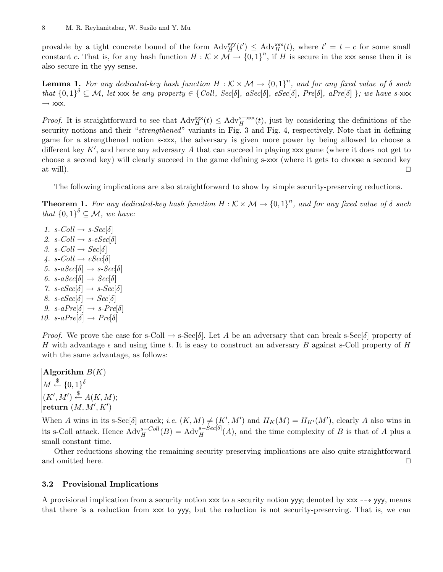provable by a tight concrete bound of the form  $\text{Adv}_{H}^{\text{yyy}}(t') \leq \text{Adv}_{H}^{\text{xxx}}(t)$ , where  $t' = t - c$  for some small constant c. That is, for any hash function  $H : \mathcal{K} \times \mathcal{M} \to \{0,1\}^n$ , if H is secure in the xxx sense then it is also secure in the yyy sense.

**Lemma 1.** For any dedicated-key hash function  $H : \mathcal{K} \times \mathcal{M} \to \{0,1\}^n$ , and for any fixed value of  $\delta$  such that  $\{0,1\}^{\delta} \subseteq \mathcal{M}$ , let xxx be any property  $\in$  {Coll, Sec[ $\delta$ ], aSec[ $\delta$ ], eSec[ $\delta$ ], Pre[ $\delta$ ], aPre[ $\delta$ ] }; we have s-xxx  $\rightarrow$  xxx.

*Proof.* It is straightforward to see that  $\text{Adv}_{H}^{\text{xxx}}(t) \leq \text{Adv}_{H}^{s-\text{xxx}}(t)$ , just by considering the definitions of the security notions and their "strengthened" variants in Fig. 3 and Fig. 4, respectively. Note that in defining game for a strengthened notion s-xxx, the adversary is given more power by being allowed to choose a different key  $K'$ , and hence any adversary A that can succeed in playing xxx game (where it does not get to choose a second key) will clearly succeed in the game defining s-xxx (where it gets to choose a second key at will).  $\Box$ 

The following implications are also straightforward to show by simple security-preserving reductions.

**Theorem 1.** For any dedicated-key hash function  $H : K \times M \to \{0,1\}^n$ , and for any fixed value of  $\delta$  such that  $\{0,1\}^{\delta} \subseteq \mathcal{M}$ , we have:

1. s-Coll  $\rightarrow$  s-Sec[ $\delta$ ] 2. s-Coll  $\rightarrow$  s-eSec[ $\delta$ ] 3. s-Coll  $\rightarrow$  Sec[ $\delta$ ] 4. s-Coll  $\rightarrow eSec[\delta]$ 5. s-a $Sec[\delta] \rightarrow s-Sec[\delta]$ 6. s-a $Sec[\delta] \rightarrow Sec[\delta]$ 7.  $s\text{-}eSec[\delta] \rightarrow s\text{-}Sec[\delta]$ 8. s-eSec[ $\delta \rightarrow Sec[\delta]$ 9.  $s$ -a $Pre[\delta] \rightarrow s$ - $Pre[\delta]$ 10. s-a $Pre[\delta] \rightarrow Pre[\delta]$ 

*Proof.* We prove the case for s-Coll  $\rightarrow$  s-Sec[δ]. Let A be an adversary that can break s-Sec[δ] property of H with advantage  $\epsilon$  and using time t. It is easy to construct an adversary B against s-Coll property of H with the same advantage, as follows:

Algorithm  $B(K)$  $M \overset{\$}{\leftarrow} \{0,1\}^{\delta}$  $(K', M') \stackrel{\$}{\leftarrow} A(K, M);$ return  $(M, M', K')$ 

When A wins in its s-Sec[ $\delta$ ] attack; *i.e.*  $(K, M) \neq (K', M')$  and  $H_K(M) = H_{K'}(M')$ , clearly A also wins in its s-Coll attack. Hence  $\text{Adv}_{H}^{s-Coll}(B) = \text{Adv}_{H}^{s-Sec[\delta]}(A)$ , and the time complexity of B is that of A plus a small constant time.

Other reductions showing the remaining security preserving implications are also quite straightforward and omitted here.  $\Box$ 

#### 3.2 Provisional Implications

A provisional implication from a security notion xxx to a security notion yyy; denoted by  $x \times - \rightarrow y \times y$ , means that there is a reduction from xxx to yyy, but the reduction is not security-preserving. That is, we can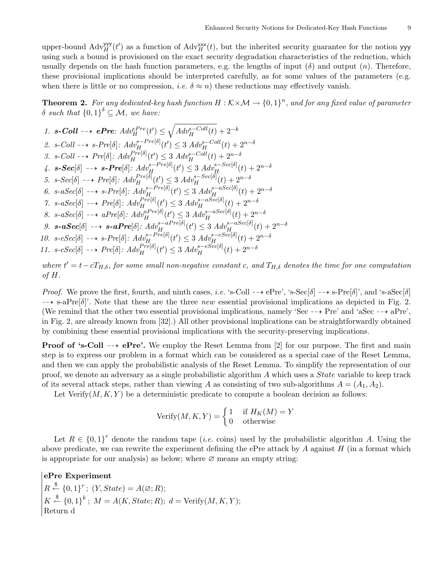upper-bound  $\text{Adv}_{H}^{\text{yyy}}(t')$  as a function of  $\text{Adv}_{H}^{\text{xxx}}(t)$ , but the inherited security guarantee for the notion yyy using such a bound is provisioned on the exact security degradation characteristics of the reduction, which usually depends on the hash function parameters, e.g. the lengths of input  $(\delta)$  and output  $(n)$ . Therefore, these provisional implications should be interpreted carefully, as for some values of the parameters (e.g. when there is little or no compression, *i.e.*  $\delta \approx n$ ) these reductions may effectively vanish.

**Theorem 2.** For any dedicated-key hash function  $H : K \times M \to \{0,1\}^n$ , and for any fixed value of parameter  $\delta$  such that  $\{0,1\}^{\delta} \subseteq \mathcal{M}$ , we have:

1. **s-Coll** 
$$
\rightarrow
$$
 **ePre**:  $Adv_H^{ePre}(t') \leq \sqrt{Adv_H^{s-Coll}(t)} + 2^{-k}$   
\n2. **s-Coll**  $\rightarrow$  **s-Pre**[ $\delta$ ]:  $Adv_H^{s-Pre[\delta]}(t') \leq 3$   $Adv_H^{s-Coll}(t) + 2^{n-\delta}$   
\n3. **s-Coll**  $\rightarrow$  **Pre**[ $\delta$ ]:  $Adv_H^{Pre[\delta]}(t') \leq 3$   $Adv_H^{s-Coll}(t) + 2^{n-\delta}$   
\n4. **s-Sec**[ $\delta$ ]  $\rightarrow$  **s-Pre**[ $\delta$ ]:  $Adv_H^{s-Pre[\delta]}(t') \leq 3$   $Adv_H^{s-Sec[\delta]}(t) + 2^{n-\delta}$   
\n5. **s-Sec**[ $\delta$ ]  $\rightarrow$  **Pre**[ $\delta$ ]:  $Adv_H^{Pre[\delta]}(t') \leq 3$   $Adv_H^{s-Sec[\delta]}(t) + 2^{n-\delta}$   
\n6. **s-ase**[ $\delta$ ]  $\rightarrow$  **s-Pre**[ $\delta$ ]:  $Adv_H^{s-Pre[\delta]}(t') \leq 3$   $Adv_H^{s-ase[\delta]}(t) + 2^{n-\delta}$   
\n7. **s-ase**[ $\delta$ ]  $\rightarrow$  **Pre**[ $\delta$ ]:  $Adv_H^{Pre[\delta]}(t') \leq 3$   $Adv_H^{s-ase[\delta]}(t) + 2^{n-\delta}$   
\n8. **s-ase**[ $\delta$ ]  $\rightarrow$  **aPre**[ $\delta$ ]:  $Adv_H^{s-are[\delta]}(t') \leq 3$   $Adv_H^{s-ase[\delta]}(t) + 2^{n-\delta}$   
\n9. **s-ase**[ $\delta$ ]  $\rightarrow$  **s-are**[ $\delta$ ]:  $Adv_H^{s-are[e\delta]}(t') \leq 3$   $Adv_H^{s-ase[\delta]}(t) + 2^{n-\delta}$   
\n10. 

where  $t' = t - cT_{H,\delta}$ , for some small non-negative constant c, and  $T_{H,\delta}$  denotes the time for one computation of  $H$ .

*Proof.* We prove the first, fourth, and ninth cases, *i.e.* 's-Coll  $-\rightarrow$  ePre', 's-Sec[ $\delta$ ]  $-\rightarrow$  s-Pre[ $\delta$ ]', and 's-aSec[ $\delta$ ]  $\rightarrow$  s-aPre[δ]'. Note that these are the three new essential provisional implications as depicted in Fig. 2. (We remind that the other two essential provisional implications, namely 'Sec  $\rightarrow$  Pre' and 'aSec  $\rightarrow$  aPre', in Fig. 2, are already known from [32].) All other provisional implications can be straightforwardly obtained by combining these essential provisional implications with the security-preserving implications.

**Proof of 's-Coll**  $\rightarrow$  **ePre'.** We employ the Reset Lemma from [2] for our purpose. The first and main step is to express our problem in a format which can be considered as a special case of the Reset Lemma, and then we can apply the probabilistic analysis of the Reset Lemma. To simplify the representation of our proof, we denote an adversary as a single probabilistic algorithm A which uses a State variable to keep track of its several attack steps, rather than viewing A as consisting of two sub-algorithms  $A = (A_1, A_2)$ .

Let Verify $(M, K, Y)$  be a deterministic predicate to compute a boolean decision as follows:

Verify
$$
(M, K, Y)
$$
 =  $\begin{cases} 1 & \text{if } H_K(M) = Y \\ 0 & \text{otherwise} \end{cases}$ 

Let  $R \in \{0,1\}^r$  denote the random tape (*i.e.* coins) used by the probabilistic algorithm A. Using the above predicate, we can rewrite the experiment defining the ePre attack by  $A$  against  $H$  (in a format which is appropriate for our analysis) as below; where  $\varnothing$  means an empty string:

## ePre Experiment

 $R \stackrel{\$}{\leftarrow} \{0,1\}^r$ ;  $(Y, State) = A(\emptyset; R)$ ;  $K \stackrel{\$}{\leftarrow} \{0,1\}^k$ ;  $M = A(K, State; R)$ ;  $d = \text{Verify}(M, K, Y)$ ; Return d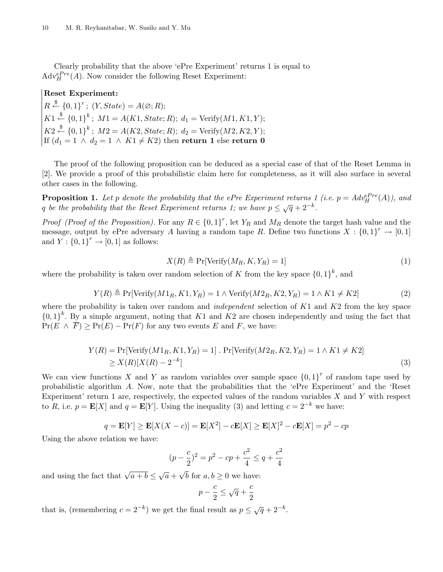Clearly probability that the above 'ePre Experiment' returns 1 is equal to  $\mathrm{Adv}_{H}^{ePre}(A)$ . Now consider the following Reset Experiment:

## Reset Experiment:

 $R \stackrel{\$}{\leftarrow} \{0,1\}^r$ ;  $(Y, State) = A(\emptyset; R)$ ;  $K1 \stackrel{\$}{\leftarrow} \{0,1\}^k$ ;  $M1 = A(K1, State; R)$ ;  $d_1 = \text{Verify}(M1, K1, Y)$ ;  $K2 \stackrel{\$}{\leftarrow} \{0,1\}^k$ ;  $M2 = A(K2, State; R)$ ;  $d_2 = \text{Verify}(M2, K2, Y)$ ; If  $(d_1 = 1 \wedge d_2 = 1 \wedge K1 \neq K2)$  then return 1 else return 0

The proof of the following proposition can be deduced as a special case of that of the Reset Lemma in [2]. We provide a proof of this probabilistic claim here for completeness, as it will also surface in several other cases in the following.

**Proposition 1.** Let p denote the probability that the ePre Experiment returns 1 (i.e.  $p = Adv_H^{ePre}(A)$ ), and q be the probability that the Reset Experiment returns 1; we have  $p \leq \sqrt{q} + 2^{-k}$ .

*Proof (Proof of the Proposition)*. For any  $R \in \{0,1\}^r$ , let  $Y_R$  and  $M_R$  denote the target hash value and the message, output by ePre adversary A having a random tape R. Define two functions  $X: \{0,1\}^r \to [0,1]$ and  $Y: \{0,1\}^r \rightarrow [0,1]$  as follows:

$$
X(R) \triangleq \Pr[\text{Verify}(M_R, K, Y_R) = 1] \tag{1}
$$

where the probability is taken over random selection of K from the key space  $\{0,1\}^k$ , and

$$
Y(R) \triangleq \Pr[\text{Verify}(M1_R, K1, Y_R) = 1 \land \text{Verify}(M2_R, K2, Y_R) = 1 \land K1 \neq K2]
$$
 (2)

where the probability is taken over random and *independent* selection of  $K1$  and  $K2$  from the key space  ${0,1}^k$ . By a simple argument, noting that K1 and K2 are chosen independently and using the fact that  $Pr(E \wedge \overline{F}) \geq Pr(E) - Pr(F)$  for any two events E and F, we have:

$$
Y(R) = \Pr[\text{Verify}(M1_R, K1, Y_R) = 1] . \Pr[\text{Verify}(M2_R, K2, Y_R) = 1 \land K1 \neq K2]
$$
  
\n
$$
\geq X(R)[X(R) - 2^{-k}]
$$
\n(3)

We can view functions X and Y as random variables over sample space  $\{0,1\}^r$  of random tape used by probabilistic algorithm A. Now, note that the probabilities that the 'ePre Experiment' and the 'Reset Experiment' return 1 are, respectively, the expected values of the random variables  $X$  and  $Y$  with respect to R, i.e.  $p = \mathbf{E}[X]$  and  $q = \mathbf{E}[Y]$ . Using the inequality (3) and letting  $c = 2^{-k}$  we have:

$$
q = \mathbf{E}[Y] \ge \mathbf{E}[X(X-c)] = \mathbf{E}[X^2] - c\mathbf{E}[X] \ge \mathbf{E}[X]^2 - c\mathbf{E}[X] = p^2 - cp
$$

Using the above relation we have:

$$
(p - \frac{c}{2})^2 = p^2 - cp + \frac{c^2}{4} \le q + \frac{c^2}{4}
$$

and using the fact that  $\sqrt{a+b} \leq \sqrt{a}$  + b for  $a, b \geq 0$  we have:

$$
p-\frac{c}{2}\leq \sqrt{q}+\frac{c}{2}
$$

that is, (remembering  $c = 2^{-k}$ ) we get the final result as  $p \leq \sqrt{q} + 2^{-k}$ .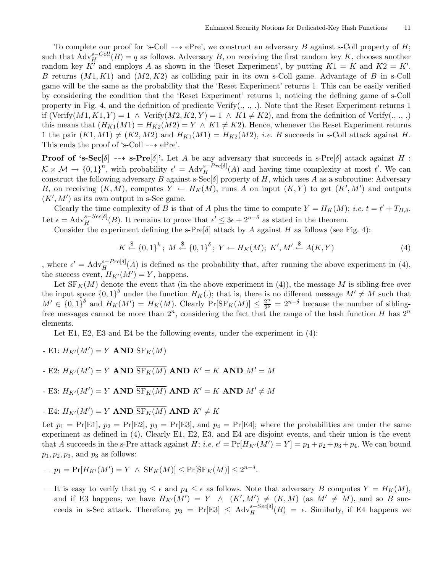To complete our proof for 's-Coll  $-\rightarrow$  ePre', we construct an adversary B against s-Coll property of H; such that  $\text{Adv}_{H}^{s-Coll}(B) = q$  as follows. Adversary B, on receiving the first random key K, chooses another random key  $K^{\prime}$  and employs A as shown in the 'Reset Experiment', by putting  $K1 = K$  and  $K2 = K^{\prime}$ . B returns  $(M1, K1)$  and  $(M2, K2)$  as colliding pair in its own s-Coll game. Advantage of B in s-Coll game will be the same as the probability that the 'Reset Experiment' returns 1. This can be easily verified by considering the condition that the 'Reset Experiment' returns 1; noticing the defining game of s-Coll property in Fig. 4, and the definition of predicate Verify $(., ., .)$ . Note that the Reset Experiment returns 1 if (Verify $(M1, K1, Y) = 1 \wedge$  Verify $(M2, K2, Y) = 1 \wedge K1 \neq K2$ ), and from the definition of Verify $(., ., .)$ this means that  $(H_{K1}(M1) = H_{K2}(M2) = Y \wedge K1 \neq K2)$ . Hence, whenever the Reset Experiment returns 1 the pair  $(K1, M1) \neq (K2, M2)$  and  $H_{K1}(M1) = H_{K2}(M2)$ , *i.e.* B succeeds in s-Coll attack against H. This ends the proof of 's-Coll  $-\rightarrow ePre'$ .

**Proof of 's-Sec**[δ]  $\rightarrow$  **s-Pre**[δ]'. Let A be any adversary that succeeds in s-Pre[δ] attack against H :  $\mathcal{K} \times \mathcal{M} \to \{0,1\}^n$ , with probability  $\epsilon' = \text{Adv}_{H}^{s-Pre[\delta]}(A)$  and having time complexity at most t'. We can construct the following adversary B against s-Sec[ $\delta$ ] property of H, which uses A as a subroutine: Adversary B, on receiving  $(K, M)$ , computes  $Y \leftarrow H_K(M)$ , runs A on input  $(K, Y)$  to get  $(K', M')$  and outputs  $(K', M')$  as its own output in s-Sec game.

Clearly the time complexity of B is that of A plus the time to compute  $Y = H_K(M)$ ; *i.e.*  $t = t' + T_{H,\delta}$ . Let  $\epsilon = \text{Adv}_{H}^{s-Sec[\delta]}(B)$ . It remains to prove that  $\epsilon' \leq 3\epsilon + 2^{n-\delta}$  as stated in the theorem.

Consider the experiment defining the s-Pre $[\delta]$  attack by A against H as follows (see Fig. 4):

$$
K \xleftarrow{\$} \{0,1\}^k \, ; \, M \xleftarrow{\$} \{0,1\}^{\delta} \, ; \, Y \leftarrow H_K(M); \, K', M' \xleftarrow{\$} A(K, Y) \tag{4}
$$

, where  $\epsilon' = \text{Adv}_{H}^{s-Pre[\delta]}(A)$  is defined as the probability that, after running the above experiment in (4), the success event,  $H_{K'}(M') = Y$ , happens.

Let  $SF_K(M)$  denote the event that (in the above experiment in (4)), the message M is sibling-free over the input space  $\{0,1\}^{\delta}$  under the function  $H_K(.)$ ; that is, there is no different message  $M' \neq M$  such that  $M' \in \{0,1\}^{\delta}$  and  $H_K(M') = H_K(M)$ . Clearly  $Pr[\text{SF}_K(M)] \leq \frac{2^n}{2^{\delta}}$  $\frac{2^n}{2^{\delta}} = 2^{n-\delta}$  because the number of siblingfree messages cannot be more than  $2^n$ , considering the fact that the range of the hash function H has  $2^n$ elements.

Let E1, E2, E3 and E4 be the following events, under the experiment in  $(4)$ :

- E1:  $H_{K'}(M') = Y$  AND  $SF_K(M)$
- E2:  $H_{K'}(M') = Y$  AND  $\overline{\text{SF}_{K}(M)}$  AND  $K' = K$  AND  $M' = M$
- E3:  $H_{K'}(M') = Y$  AND  $\overline{\text{SF}_{K}(M)}$  AND  $K' = K$  AND  $M' \neq M$

- E4:  $H_{K'}(M') = Y$  AND  $\overline{\text{SF}_{K}(M)}$  AND  $K' \neq K$ 

Let  $p_1 = \Pr[Ed], p_2 = \Pr[Ed], p_3 = \Pr[Ed],$  and  $p_4 = \Pr[Ed]$ ; where the probabilities are under the same experiment as defined in (4). Clearly E1, E2, E3, and E4 are disjoint events, and their union is the event that A succeeds in the s-Pre attack against H; i.e.  $\epsilon' = \Pr[H_{K'}(M') = Y] = p_1 + p_2 + p_3 + p_4$ . We can bound  $p_1, p_2, p_3$ , and  $p_3$  as follows:

$$
- p_1 = \Pr[H_{K'}(M') = Y \land \text{SF}_K(M)] \le \Pr[\text{SF}_K(M)] \le 2^{n-\delta}.
$$

– It is easy to verify that  $p_3 \leq \epsilon$  and  $p_4 \leq \epsilon$  as follows. Note that adversary B computes  $Y = H_K(M)$ , and if E3 happens, we have  $H_{K'}(M') = Y \wedge (K',M') \neq (K,M)$  (as  $M' \neq M$ ), and so B succeeds in s-Sec attack. Therefore,  $p_3 = \Pr[ES] \leq \text{Adv}_{H}^{s-Sec[\delta]}(B) = \epsilon$ . Similarly, if E4 happens we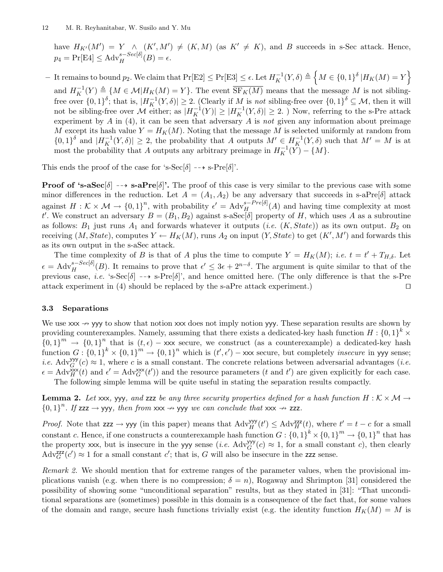have  $H_{K'}(M') = Y \wedge (K', M') \neq (K, M)$  (as  $K' \neq K$ ), and B succeeds in s-Sec attack. Hence,  $p_4 = \Pr[\text{E4}] \le \text{Adv}_{H}^{s-Sec[\delta]}(B) = \epsilon.$ 

 $- \text{ It remains to bound } p_2. \text{ We claim that } \Pr[E2] \leq \Pr[E3] \leq \epsilon. \text{ Let } H_K^{-1}(Y, \delta) \triangleq \left\{ M \in \{0,1\}^\delta \, | H_K(M) = Y \right\}$ and  $H_K^{-1}(Y) \triangleq \{M \in \mathcal{M} | H_K(M) = Y\}$ . The event  $\overline{SF_K(M)}$  means that the message M is not siblingfree over  $\{0,1\}^{\delta}$ ; that is,  $|H_K^{-1}(Y,\delta)| \geq 2$ . (Clearly if M is not sibling-free over  $\{0,1\}^{\delta} \subseteq \mathcal{M}$ , then it will not be sibling-free over M either; as  $|H_K^{-1}(Y)| \geq |H_K^{-1}(Y,\delta)| \geq 2$ . Wow, referring to the s-Pre attack experiment by A in  $(4)$ , it can be seen that adversary A is not given any information about preimage M except its hash value  $Y = H_K(M)$ . Noting that the message M is selected uniformly at random from  ${0,1}^{\delta}$  and  $|H_K^{-1}(Y,\delta)| \geq 2$ , the probability that A outputs  $M' \in H_K^{-1}(Y,\delta)$  such that  $M' = M$  is at most the probability that A outputs any arbitrary preimage in  $H_K^{-1}(\tilde{Y}) - \{M\}$ .

This ends the proof of the case for 's-Sec[ $\delta$ ] --> s-Pre[ $\delta$ ]'.

**Proof of 's-aSec**[δ]  $\rightarrow$  **s-aPre**[δ]'. The proof of this case is very similar to the previous case with some minor differences in the reduction. Let  $A = (A_1, A_2)$  be any adversary that succeeds in s-aPre[ $\delta$ ] attack against  $H: \mathcal{K} \times \mathcal{M} \to \{0,1\}^n$ , with probability  $\epsilon' = \text{Adv}_{H}^{s-Pre[\delta]}(A)$  and having time complexity at most t'. We construct an adversary  $B = (B_1, B_2)$  against s-aSec[ $\delta$ ] property of H, which uses A as a subroutine as follows:  $B_1$  just runs  $A_1$  and forwards whatever it outputs (i.e.  $(K, State)$ ) as its own output.  $B_2$  on receiving  $(M, State)$ , computes  $Y \leftarrow H_K(M)$ , runs  $A_2$  on input  $(Y, State)$  to get  $(K', M')$  and forwards this as its own output in the s-aSec attack.

The time complexity of B is that of A plus the time to compute  $Y = H_K(M)$ ; *i.e.*  $t = t' + T_{H,\delta}$ . Let  $\epsilon = \text{Adv}_{H}^{s-Sec[\delta]}(B)$ . It remains to prove that  $\epsilon' \leq 3\epsilon + 2^{n-\delta}$ . The argument is quite similar to that of the previous case, *i.e.* 's-Sec[δ]  $\rightarrow$  s-Pre[δ]', and hence omitted here. (The only difference is that the s-Pre attack experiment in (4) should be replaced by the s-aPre attack experiment.)  $\Box$ 

#### 3.3 Separations

We use  $x \times x \rightarrow y$  yy to show that notion  $x \times x$  does not imply notion yyy. These separation results are shown by providing counterexamples. Namely, assuming that there exists a dedicated-key hash function  $H: \{0,1\}^k \times$  ${0,1}^m \rightarrow {0,1}^n$  that is  $(t,\epsilon)$  – xxx secure, we construct (as a counterexample) a dedicated-key hash function  $G: \{0,1\}^k \times \{0,1\}^m \to \{0,1\}^n$  which is  $(t', \epsilon') - \text{xxx}$  secure, but completely *insecure* in yyy sense; *i.e.*  $Adv_G^{yyy}(c) \approx 1$ , where c is a small constant. The concrete relations between adversarial advantages (*i.e.*  $\epsilon = \text{Adv}_{H}^{\text{xxx}}(t)$  and  $\epsilon' = \text{Adv}_{G}^{\text{xxx}}(t')$  and the resource parameters (t and t') are given explicitly for each case. The following simple lemma will be quite useful in stating the separation results compactly.

**Lemma 2.** Let xxx, yyy, and zzz be any three security properties defined for a hash function  $H : K \times M \rightarrow$  ${0,1}^n$ . If zzz  $\rightarrow$  yyy, then from xxx  $\rightarrow$  yyy we can conclude that xxx  $\rightarrow$  zzz.

*Proof.* Note that  $zzz \to yy$  (in this paper) means that  $\text{Adv}_{H}^{yyy}(t') \leq \text{Adv}_{H}^{zzz}(t)$ , where  $t' = t - c$  for a small constant c. Hence, if one constructs a counterexample hash function  $G: \{0,1\}^k \times \{0,1\}^m \to \{0,1\}^n$  that has the property xxx, but is insecure in the yyy sense (*i.e.*  $\text{Adv}_{G}^{\text{yyy}}(c) \approx 1$ , for a small constant *c*), then clearly  $\text{Adv}_{G}^{\text{ZZZ}}(c') \approx 1$  for a small constant  $c'$ ; that is, G will also be insecure in the zzz sense.

Remark 2. We should mention that for extreme ranges of the parameter values, when the provisional implications vanish (e.g. when there is no compression;  $\delta = n$ ), Rogaway and Shrimpton [31] considered the possibility of showing some "unconditional separation" results, but as they stated in [31]: "That unconditional separations are (sometimes) possible in this domain is a consequence of the fact that, for some values of the domain and range, secure hash functions trivially exist (e.g. the identity function  $H_K(M) = M$  is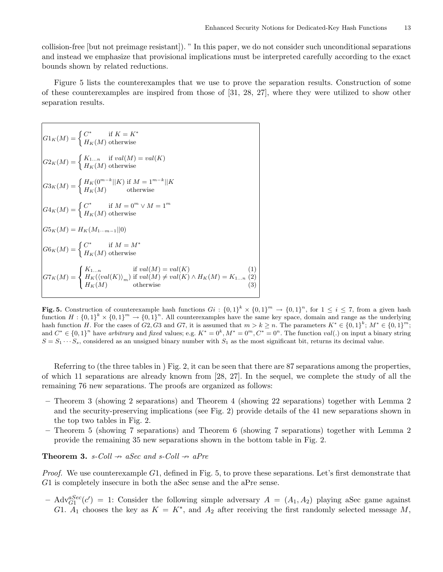collision-free [but not preimage resistant]). " In this paper, we do not consider such unconditional separations and instead we emphasize that provisional implications must be interpreted carefully according to the exact bounds shown by related reductions.

Figure 5 lists the counterexamples that we use to prove the separation results. Construction of some of these counterexamples are inspired from those of [31, 28, 27], where they were utilized to show other separation results.

| $G1_K(M) = \begin{cases} C^* & \text{if } K = K^* \\ H_K(M) & \text{otherwise} \end{cases}$                                                                                                                                                          |
|------------------------------------------------------------------------------------------------------------------------------------------------------------------------------------------------------------------------------------------------------|
| $G2_K(M) = \begin{cases} K_{1n} & \text{if } val(M) = val(K) \\ H_K(M) & \text{otherwise} \end{cases}$                                                                                                                                               |
| $\label{eq:G3K} \bigg  G3_K(M) = \left\{ \begin{array}{l} H_K(0^{m-k}  K) \mbox{ if } M=1^{m-k}  K \\ H_K(M) \mbox{ otherwise } \end{array} \right.$                                                                                                 |
| $G4_K(M) = \begin{cases} C^* & \text{if } M = 0^m \vee M = 1^m \\ H_K(M) & \text{otherwise} \end{cases}$                                                                                                                                             |
| $ G5_K(M) = H_K(M_{1 \cdots m-1}  0)$                                                                                                                                                                                                                |
| $G6_K(M) = \begin{cases} C^* & \text{if } M = M^* \\ H_K(M) & \text{otherwise} \end{cases}$                                                                                                                                                          |
| $\label{eq:G7} \begin{cases} G7_K(M)= \begin{cases} \; K_{1n} & \text{if } val(M)=val(K)\\ \; H_K(\langle val(K)\rangle_m) & \text{if } val(M)\neq val(K) \wedge H_K(M)=K_{1n} \ (2)\\ \; H_K(M) & \text{otherwise} \end{cases} \end{cases} \tag{1}$ |

**Fig. 5.** Construction of counterexample hash functions  $Gi : \{0,1\}^k \times \{0,1\}^m \rightarrow \{0,1\}^n$ , for  $1 \leq i \leq 7$ , from a given hash function  $H: \{0,1\}^k \times \{0,1\}^m \to \{0,1\}^n$ . All counterexamples have the same key space, domain and range as the underlying hash function H. For the cases of  $G2, G3$  and  $G7$ , it is assumed that  $m > k \geq n$ . The parameters  $K^* \in \{0,1\}^k$ ;  $M^* \in \{0,1\}^m$ ; and  $C^* \in \{0,1\}^n$  have arbitrary and fixed values; e.g.  $K^* = 0^k$ ,  $M^* = 0^m$ ,  $C^* = 0^n$ . The function val(.) on input a binary string  $S = S_1 \cdots S_s$ , considered as an unsigned binary number with  $S_1$  as the most significant bit, returns its decimal value.

Referring to (the three tables in ) Fig. 2, it can be seen that there are 87 separations among the properties, of which 11 separations are already known from [28, 27]. In the sequel, we complete the study of all the remaining 76 new separations. The proofs are organized as follows:

- Theorem 3 (showing 2 separations) and Theorem 4 (showing 22 separations) together with Lemma 2 and the security-preserving implications (see Fig. 2) provide details of the 41 new separations shown in the top two tables in Fig. 2.
- Theorem 5 (showing 7 separations) and Theorem 6 (showing 7 separations) together with Lemma 2 provide the remaining 35 new separations shown in the bottom table in Fig. 2.

**Theorem 3.** s-Coll  $\rightarrow$  aSec and s-Coll  $\rightarrow$  aPre

*Proof.* We use counterexample  $G1$ , defined in Fig. 5, to prove these separations. Let's first demonstrate that G1 is completely insecure in both the aSec sense and the aPre sense.

 $-Ad\mathbf{v}_{G1}^{aSec}(c') = 1$ : Consider the following simple adversary  $A = (A_1, A_2)$  playing a Sec game against G1.  $A_1$  chooses the key as  $K = K^*$ , and  $A_2$  after receiving the first randomly selected message M,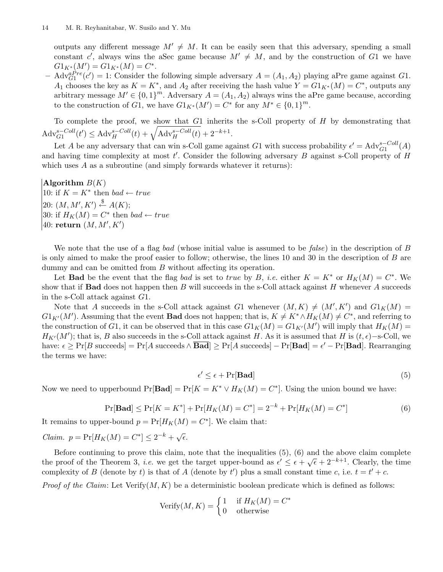outputs any different message  $M' \neq M$ . It can be easily seen that this adversary, spending a small constant c', always wins the aSec game because  $M' \neq M$ , and by the construction of G1 we have  $G1_{K^*}(M') = G1_{K^*}(M) = C^*$ .

 $-$  Adv ${}_{G_1}^{aPre}(c') = 1$ : Consider the following simple adversary  $A = (A_1, A_2)$  playing aPre game against  $G_1$ . A<sub>1</sub> chooses the key as  $K = K^*$ , and A<sub>2</sub> after receiving the hash value  $Y = G1_{K^*}(M) = C^*$ , outputs any arbitrary message  $M' \in \{0,1\}^m$ . Adversary  $A = (A_1, A_2)$  always wins the aPre game because, according to the construction of  $G1$ , we have  $G1_{K^*}(M') = C^*$  for any  $M^* \in \{0,1\}^m$ .

To complete the proof, we show that  $G1$  inherits the s-Coll property of  $H$  by demonstrating that  $\mathrm{Adv}_{G1}^{s-Coll}(t') \leq \mathrm{Adv}_{H}^{s-Coll}(t) + \sqrt{\mathrm{Adv}_{H}^{s-Coll}(t)} + 2^{-k+1}.$ 

Let A be any adversary that can win s-Coll game against G1 with success probability  $\epsilon' = \text{Adv}_{G1}^{s-Coll}(A)$ and having time complexity at most  $t'$ . Consider the following adversary  $B$  against s-Coll property of  $H$ which uses  $A$  as a subroutine (and simply forwards whatever it returns):

Algorithm  $B(K)$ 10: if  $K = K^*$  then  $bad \leftarrow true$ 20:  $(M, M', K') \stackrel{\$}{\leftarrow} A(K);$ 30: if  $H_K(M) = C^*$  then  $bad \leftarrow true$ 40: return  $(M, M', K')$ 

We note that the use of a flag *bad* (whose initial value is assumed to be *false*) in the description of B is only aimed to make the proof easier to follow; otherwise, the lines 10 and 30 in the description of B are dummy and can be omitted from B without affecting its operation.

Let **Bad** be the event that the flag *bad* is set to *true* by B, *i.e.* either  $K = K^*$  or  $H_K(M) = C^*$ . We show that if **Bad** does not happen then B will succeeds in the s-Coll attack against H whenever A succeeds in the s-Coll attack against G1.

Note that A succeeds in the s-Coll attack against G1 whenever  $(M, K) \neq (M', K')$  and  $G1_K(M)$  $G1_{K'}(M')$ . Assuming that the event **Bad** does not happen; that is,  $K \neq K^* \wedge H_K(M) \neq C^*$ , and referring to the construction of G1, it can be observed that in this case  $G1_K(M) = G1_{K'}(M')$  will imply that  $H_K(M) =$  $H_{K'}(M')$ ; that is, B also succeeds in the s-Coll attack against H. As it is assumed that H is  $(t, \epsilon)$ –s-Coll, we have:  $\epsilon \geq \Pr[B \text{ succeeds}] = \Pr[A \text{ succeeds} \land \overline{\mathbf{Bad}}] \geq \Pr[A \text{ succeeds}] - \Pr[\mathbf{Bad}] = \epsilon' - \Pr[\mathbf{Bad}]$ . Rearranging the terms we have:

$$
\epsilon' \le \epsilon + \Pr[\mathbf{Bad}] \tag{5}
$$

Now we need to upperbound  $Pr[\mathbf{Bad}] = Pr[K = K^* \vee H_K(M) = C^*]$ . Using the union bound we have:

$$
\Pr[\mathbf{Bad}] \le \Pr[K = K^*] + \Pr[H_K(M) = C^*] = 2^{-k} + \Pr[H_K(M) = C^*]
$$
\n(6)

It remains to upper-bound  $p = Pr[H_K(M) = C^*]$ . We claim that:

*Claim.*  $p = Pr[H_K(M) = C^*] \le 2^{-k} + \sqrt{\epsilon}$ .

Before continuing to prove this claim, note that the inequalities  $(5)$ ,  $(6)$  and the above claim complete the proof of the Theorem 3, *i.e.* we get the target upper-bound as  $\epsilon' \leq \epsilon + \sqrt{\epsilon} + 2^{-k+1}$ . Clearly, the time complexity of B (denote by t) is that of A (denote by t') plus a small constant time c, i.e.  $t = t' + c$ .

*Proof of the Claim:* Let Verify $(M, K)$  be a deterministic boolean predicate which is defined as follows:

Verify
$$
(M, K) = \begin{cases} 1 & \text{if } H_K(M) = C^* \\ 0 & \text{otherwise} \end{cases}
$$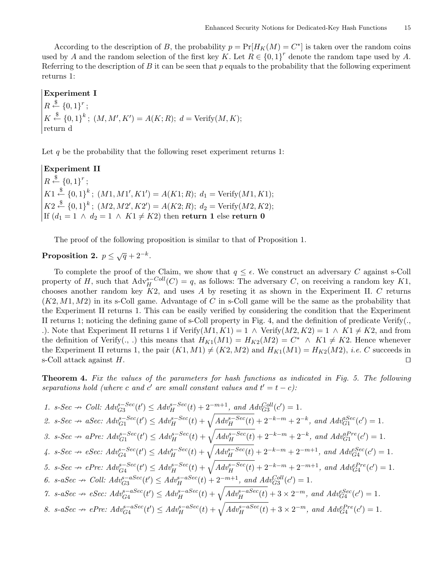According to the description of B, the probability  $p = Pr[H_K(M) = C^*]$  is taken over the random coins used by A and the random selection of the first key K. Let  $R \in \{0,1\}^r$  denote the random tape used by A. Referring to the description of B it can be seen that p equals to the probability that the following experiment returns 1:

#### Experiment I

 $R \stackrel{\varphi}{\leftarrow} \{0,1\}^r$ ;  $\xleftarrow{\$} \{0,1\}^r$  $K \stackrel{\$}{\leftarrow} \{0,1\}^k$ ;  $(M, M', K') = A(K; R)$ ;  $d = \text{Verify}(M, K)$ ; return d

Let  $q$  be the probability that the following reset experiment returns 1:

Experiment II  $R \stackrel{\$}{\leftarrow} \{0,1\}^r$ ;  $K1 \stackrel{\$}{\leftarrow} \{0,1\}^k$ ;  $(M1, M1', K1') = A(K1; R)$ ;  $d_1 = \text{Verify}(M1, K1)$ ;  $K2 \stackrel{\$}{\leftarrow} \{0,1\}^k$ ;  $(M2, M2', K2') = A(K2; R)$ ;  $d_2 = \text{Verify}(M2, K2)$ ; If  $(d_1 = 1 \wedge d_2 = 1 \wedge K1 \neq K2)$  then return 1 else return 0

The proof of the following proposition is similar to that of Proposition 1.

# Proposition 2.  $p \leq \sqrt{q} + 2^{-k}$ .

To complete the proof of the Claim, we show that  $q \leq \epsilon$ . We construct an adversary C against s-Coll property of H, such that  $\text{Adv}_{H}^{s-Coll}(C) = q$ , as follows: The adversary C, on receiving a random key K1, chooses another random key  $K2$ , and uses A by reseting it as shown in the Experiment II. C returns  $(K2, M1, M2)$  in its s-Coll game. Advantage of C in s-Coll game will be the same as the probability that the Experiment II returns 1. This can be easily verified by considering the condition that the Experiment II returns 1; noticing the defining game of s-Coll property in Fig. 4, and the definition of predicate Verify $(.,$ .). Note that Experiment II returns 1 if Verify $(M1, K1) = 1 \wedge \text{Verify}(M2, K2) = 1 \wedge K1 \neq K2$ , and from the definition of Verify(., .) this means that  $H_{K1}(M1) = H_{K2}(M2) = C^* \wedge K1 \neq K2$ . Hence whenever the Experiment II returns 1, the pair  $(K1, M1) \neq (K2, M2)$  and  $H_{K1}(M1) = H_{K2}(M2)$ , *i.e.* C succeeds in s-Coll attack against  $H$ .

Theorem 4. Fix the values of the parameters for hash functions as indicated in Fig. 5. The following separations hold (where c and c' are small constant values and  $t' = t - c$ ):

1. 
$$
s\text{-}Sec \to Coll: Adv_{G3}^{s-}^{sec}(t') \leq Adv_{H}^{s-}^{sec}(t) + 2^{-m+1}
$$
, and  $Adv_{G3}^{Coll}(c') = 1$ .  
\n2.  $s\text{-}Sec \to aSec: Adv_{G1}^{s-}^{sec}(t') \leq Adv_{H}^{s-}^{sec}(t) + \sqrt{Adv_{H}^{s-}^{sec}(t)} + 2^{-k-m} + 2^{-k}$ , and  $Adv_{G1}^{aSec}(c') = 1$ .  
\n3.  $s\text{-}Sec \to aPre: Adv_{G1}^{s-}^{sec}(t') \leq Adv_{H}^{s-}^{sec}(t) + \sqrt{Adv_{H}^{s-}^{sec}(t)} + 2^{-k-m} + 2^{-k}$ , and  $Adv_{G1}^{aPre}(c') = 1$ .  
\n4.  $s\text{-}Sec \to eSec: Adv_{G4}^{s-}^{sec}(t') \leq Adv_{H}^{s-}^{sec}(t) + \sqrt{Adv_{H}^{s-}^{sec}(t)} + 2^{-k-m} + 2^{-m+1}$ , and  $Adv_{G4}^{eSec}(c') = 1$ .  
\n5.  $s\text{-}Sec \to ePre: Adv_{G4}^{s-}^{sec}(t') \leq Adv_{H}^{s-}^{sec}(t) + \sqrt{Adv_{H}^{s-}^{sec}(t)} + 2^{-k-m} + 2^{-m+1}$ , and  $Adv_{G4}^{ePre}(c') = 1$ .  
\n6.  $s\text{-}aSec \to Coll: Adv_{G3}^{s-}^{casc}(t') \leq Adv_{H}^{s-}^{casc}(t) + 2^{-m+1}$ , and  $Adv_{G3}^{Coll}(c') = 1$ .  
\n7.  $s\text{-}aSec \to eSec: Adv_{G4}^{s-}^{casc}(t') \leq Adv_{H}^{s-}^{casc}(t) + \sqrt{Adv_{H}^{s-}^{casc}(t)} + 3 \times 2^{-m}$ , and  $Adv_{G4}^{eSec}(c') = 1$ .  
\n8.  $s\text{-}aSec \to ePre: Adv_{G4}^{s-}^{casc}(t') \leq Adv_{H}^{s-}^{casc}(t) + \sqrt{Adv_{H}^{s-}^{casc}(t)} + 3 \times 2^{-m}$ , and  $Adv_{G4}^{ePre}($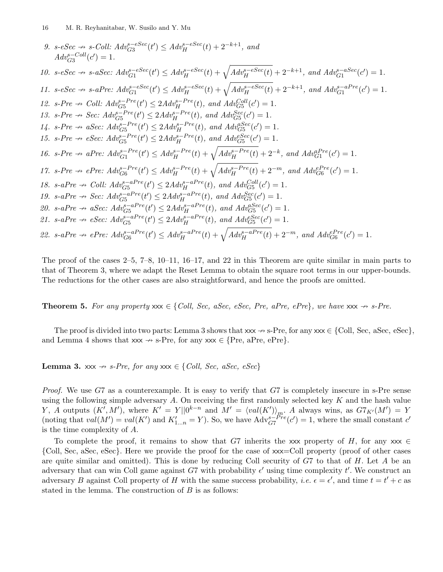9. 
$$
s\text{-}eSec \rightarrow s\text{-}Coll: Adv_{G3}^{s-}eSec(t') \leq Adv_{H}^{s-}eSec(t) + 2^{-k+1}, and
$$
  
\n $Adv_{G3}^{s-}Coll(c') = 1.$   
\n10.  $s\text{-}eSec \nleftrightarrow s\text{-}aSec: Adv_{G1}^{s-}eSec(t') \leq Adv_{H}^{s-}eSec(t) + \sqrt{Adv_{H}^{s-}eSec(t)} + 2^{-k+1}, and Adv_{G1}^{s-}ae(C(t)) = 1.$   
\n11.  $s\text{-}eSec \nleftrightarrow s\text{-}aPre: Adv_{G1}^{s-}eSec(t') \leq Adv_{H}^{s-}eSec(t) + \sqrt{Adv_{H}^{s-}eSec(t)} + 2^{-k+1}, and Adv_{G1}^{s-}are(C') = 1.$   
\n12.  $s\text{-}Pre \nleftrightarrow Coll: Adv_{G5}^{s-}Pre(t') \leq 2Adv_{H}^{s-}Pre(t), and Adv_{G5}^{Coll}(c') = 1.$   
\n13.  $s\text{-}Pre \nleftrightarrow Sec: Adv_{G5}^{s-}Pre(t') \leq 2Adv_{H}^{s-}Pre(t), and Adv_{G5}^{Coll}(c') = 1.$   
\n14.  $s\text{-}Pre \nleftrightarrow aSec: Adv_{G5}^{s-}Pre(t') \leq 2Adv_{H}^{s-}Pre(t), and Adv_{G5}^{Col(c')} = 1.$   
\n15.  $s\text{-}Pre \nleftrightarrow aSec: Adv_{G5}^{s-}Pre(t') \leq 2Adv_{H}^{s-}Pre(t), and Adv_{G5}^{SEC}(c') = 1.$   
\n16.  $s\text{-}Pre \nleftrightarrow aPre: Adv_{G1}^{s-}Pre(t') \leq Adv_{H}^{s-}Pre(t) + \sqrt{Adv_{H}^{s-}Pre(t)} + 2^{-k}, and Adv_{G1}^{clre}(c') = 1.$   
\n17.  $s\text{-}Pre \nleftrightarrow ePre: Adv_{G6}^{s-}Pre(t') \leq Adv_{H}^{s-}are(t) + \sqrt{Adv_{H}^{s-}Pre(t)} + 2^{-m}, and Adv_{G6}^{Clre}(c') = 1.$   
\n18.  $s\text{-}are \nleftrightarrow Coll: Adv_{G6}^{s-}are(t') \leq 2Adv_{H}^{s-}are(t), and Adv_{G5}^{Col}(c$ 

The proof of the cases 2–5, 7–8, 10–11, 16–17, and 22 in this Theorem are quite similar in main parts to that of Theorem 3, where we adapt the Reset Lemma to obtain the square root terms in our upper-bounds. The reductions for the other cases are also straightforward, and hence the proofs are omitted.

**Theorem 5.** For any property  $\mathsf{xxx} \in \{Coll, Sec, aSec, eSec, Pre, aPre, ePre\}$ , we have  $\mathsf{xxx} \nightharpoonup s\text{-}Pre$ .

The proof is divided into two parts: Lemma 3 shows that  $x \times x \rightarrow s$ -Pre, for any  $x \times x \in \{\text{Coll}, \text{Sec}, \text{aSec}, \text{eSec}\},\$ and Lemma 4 shows that  $xxx \rightarrow s$ -Pre, for any  $xxx \in \{Pre, aPre, ePre\}.$ 

**Lemma 3.** xxx  $\rightarrow$  s-Pre, for any xxx  $\in$  {Coll, Sec, aSec, eSec}

Proof. We use G7 as a counterexample. It is easy to verify that G7 is completely insecure in s-Pre sense using the following simple adversary  $A$ . On receiving the first randomly selected key  $K$  and the hash value Y, A outputs  $(K', M')$ , where  $K' = Y||0^{k-n}$  and  $M' = \langle val(K') \rangle_{m}$ . A always wins, as  $G7_{K'}(M') = Y$ (noting that  $val(M') = val(K')$  and  $K'_{1...n} = Y$ ). So, we have  $Adv_{GT}^{s-Pre}(c') = 1$ , where the small constant  $c'$ is the time complexity of A.

To complete the proof, it remains to show that G7 inherits the xxx property of H, for any xxx  $\in$ {Coll, Sec, aSec, eSec}. Here we provide the proof for the case of xxx=Coll property (proof of other cases are quite similar and omitted). This is done by reducing Coll security of  $G7$  to that of  $H$ . Let  $A$  be an adversary that can win Coll game against  $G7$  with probability  $\epsilon'$  using time complexity  $t'$ . We construct an adversary B against Coll property of H with the same success probability, *i.e.*  $\epsilon = \epsilon'$ , and time  $t = t' + c$  as stated in the lemma. The construction of  $B$  is as follows: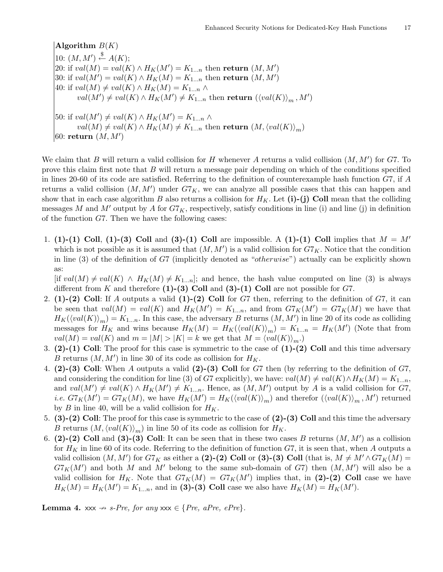Algorithm  $B(K)$ 10:  $(M, M') \stackrel{\$}{\leftarrow} A(K);$ 20: if  $val(M) = val(K) \wedge H_K(M') = K_{1...n}$  then return  $(M, M')$ 30: if  $val(M') = val(K) \wedge H_K(M) = K_{1...n}$  then return  $(M, M')$ 40: if  $val(M) \neq val(K) \wedge H_K(M) = K_{1...n} \wedge$  $val(M') \neq val(K) \wedge H_K(M') \neq K_{1...n}$  then return  $(\langle val(K) \rangle_m, M')$ 50: if  $val(M') \neq val(K) \wedge H_K(M') = K_{1...n} \wedge$  $val(M) \neq val(K) \wedge H_K(M) \neq K_{1...n}$  then return  $(M,\langle val(K) \rangle_m)$ 60: return  $(M, M')$ 

We claim that B will return a valid collision for H whenever A returns a valid collision  $(M, M')$  for G7. To prove this claim first note that B will return a message pair depending on which of the conditions specified in lines 20-60 of its code are satisfied. Referring to the definition of counterexample hash function G7, if A returns a valid collision  $(M, M')$  under  $G7_K$ , we can analyze all possible cases that this can happen and show that in each case algorithm B also returns a collision for  $H_K$ . Let (i)-(j) Coll mean that the colliding messages M and M' output by A for  $GT_K$ , respectively, satisfy conditions in line (i) and line (j) in definition of the function G7. Then we have the following cases:

1. (1)-(1) Coll, (1)-(3) Coll and (3)-(1) Coll are impossible. A (1)-(1) Coll implies that  $M = M'$ which is not possible as it is assumed that  $(M, M')$  is a valid collision for  $GT_K$ . Notice that the condition in line (3) of the definition of G7 (implicitly denoted as "otherwise") actually can be explicitly shown as:

 $\text{if } val(M) \neq val(K) \land H_K(M) \neq K_{1...n}$ ; and hence, the hash value computed on line (3) is always different from K and therefore  $(1)-(3)$  Coll and  $(3)-(1)$  Coll are not possible for G7.

- 2. (1)-(2) Coll: If A outputs a valid (1)-(2) Coll for G7 then, referring to the definition of G7, it can be seen that  $val(M) = val(K)$  and  $H_K(M') = K_{1...n}$ , and from  $GT_K(M') = GT_K(M)$  we have that  $H_K(\langle val(K) \rangle_m) = K_{1...n}$ . In this case, the adversary B returns  $(M, M')$  in line 20 of its code as colliding messages for  $H_K$  and wins because  $H_K(M) = H_K(\langle val(K) \rangle_m) = K_{1...n} = H_K(M')$  (Note that from  $val(M) = val(K)$  and  $m = |M| > |K| = k$  we get that  $M = \langle val(K) \rangle_m$ .
- 3. (2)-(1) Coll: The proof for this case is symmetric to the case of  $(1)-(2)$  Coll and this time adversary B returns  $(M, M')$  in line 30 of its code as collision for  $H_K$ .
- 4. (2)-(3) Coll: When A outputs a valid (2)-(3) Coll for  $G7$  then (by referring to the definition of  $GT$ , and considering the condition for line (3) of G7 explicitly), we have:  $val(M) \neq val(K) \wedge H_K(M) = K_{1...n}$ , and  $val(M') \neq val(K) \wedge H_K(M') \neq K_{1...n}$ . Hence, as  $(M, M')$  output by A is a valid collision for G7, *i.e.*  $GT_K(M') = GT_K(M)$ , we have  $H_K(M') = H_K(\langle val(K) \rangle_m)$  and therefor  $(\langle val(K) \rangle_m, M')$  returned by B in line 40, will be a valid collision for  $H_K$ .
- 5. (3)-(2) Coll: The proof for this case is symmetric to the case of  $(2)-(3)$  Coll and this time the adversary B returns  $(M,\langle val(K)\rangle_m)$  in line 50 of its code as collision for  $H_K$ .
- 6. (2)-(2) Coll and (3)-(3) Coll: It can be seen that in these two cases B returns  $(M, M')$  as a collision for  $H_K$  in line 60 of its code. Referring to the definition of function  $G7$ , it is seen that, when A outputs a valid collision  $(M, M')$  for  $G7_K$  as either a (2)-(2) Coll or (3)-(3) Coll (that is,  $M \neq M' \wedge G7_K(M)$  =  $G7_K(M')$  and both M and M' belong to the same sub-domain of G7) then  $(M, M')$  will also be a valid collision for  $H_K$ . Note that  $G7_K(M) = GT_K(M')$  implies that, in (2)-(2) Coll case we have  $H_K(M) = H_K(M') = K_{1...n}$ , and in (3)-(3) Coll case we also have  $H_K(M) = H_K(M')$ .

**Lemma 4.** xxx  $\rightarrow$  s-Pre, for any xxx  $\in$  {Pre, aPre, ePre}.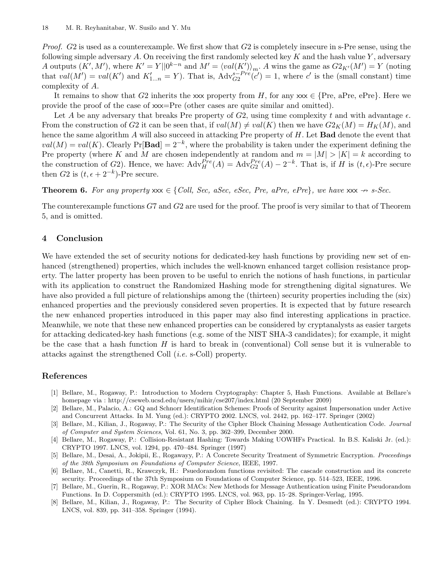*Proof.*  $G2$  is used as a counterexample. We first show that  $G2$  is completely insecure in s-Pre sense, using the following simple adversary A. On receiving the first randomly selected key K and the hash value Y, adversary A outputs  $(K', M')$ , where  $K' = Y||0^{k-n}$  and  $M' = \langle val(K') \rangle_m$ . A wins the game as  $G2_{K'}(M') = Y$  (noting that  $val(M') = val(K')$  and  $K'_{1...n} = Y$ ). That is,  $Adv_{G2}^{s-Pre}(c') = 1$ , where c' is the (small constant) time complexity of A.

It remains to show that G2 inherits the xxx property from H, for any xxx  $\in$  {Pre, aPre, ePre}. Here we provide the proof of the case of xxx=Pre (other cases are quite similar and omitted).

Let A be any adversary that breaks Pre property of G2, using time complexity t and with advantage  $\epsilon$ . From the construction of G2 it can be seen that, if  $val(M) \neq val(K)$  then we have  $G2_K(M) = H_K(M)$ , and hence the same algorithm A will also succeed in attacking Pre property of H. Let Bad denote the event that  $val(M) = val(K)$ . Clearly Pr[**Bad**] =  $2^{-k}$ , where the probability is taken under the experiment defining the Pre property (where K and M are chosen independently at random and  $m = |M| > |K| = k$  according to the construction of G2). Hence, we have:  $\text{Adv}_{H}^{Pre}(A) = \text{Adv}_{G2}^{Pre}(A) - 2^{-k}$ . That is, if H is  $(t, \epsilon)$ -Pre secure then  $G2$  is  $(t, \epsilon + 2^{-k})$ -Pre secure.

**Theorem 6.** For any property xxx  $\in$  {Coll, Sec, aSec, eSec, Pre, aPre, ePre}, we have xxx  $\rightarrow$  s-Sec.

The counterexample functions G7 and G2 are used for the proof. The proof is very similar to that of Theorem 5, and is omitted.

## 4 Conclusion

We have extended the set of security notions for dedicated-key hash functions by providing new set of enhanced (strengthened) properties, which includes the well-known enhanced target collision resistance property. The latter property has been proven to be useful to enrich the notions of hash functions, in particular with its application to construct the Randomized Hashing mode for strengthening digital signatures. We have also provided a full picture of relationships among the (thirteen) security properties including the (six) enhanced properties and the previously considered seven properties. It is expected that by future research the new enhanced properties introduced in this paper may also find interesting applications in practice. Meanwhile, we note that these new enhanced properties can be considered by cryptanalysts as easier targets for attacking dedicated-key hash functions (e.g. some of the NIST SHA-3 candidates); for example, it might be the case that a hash function  $H$  is hard to break in (conventional) Coll sense but it is vulnerable to attacks against the strengthened Coll (i.e. s-Coll) property.

## References

- [1] Bellare, M., Rogaway, P.: Introduction to Modern Cryptography: Chapter 5, Hash Functions. Available at Bellare's homepage via : http://cseweb.ucsd.edu/users/mihir/cse207/index.html (20 September 2009)
- [2] Bellare, M., Palacio, A.: GQ and Schnorr Identification Schemes: Proofs of Security against Impersonation under Active and Concurrent Attacks. In M. Yung (ed.): CRYPTO 2002. LNCS, vol. 2442, pp. 162–177. Springer (2002)
- [3] Bellare, M., Kilian, J., Rogaway, P.: The Security of the Cipher Block Chaining Message Authentication Code. Journal of Computer and System Sciences, Vol. 61, No. 3, pp. 362–399, December 2000.
- [4] Bellare, M., Rogaway, P.: Collision-Resistant Hashing: Towards Making UOWHFs Practical. In B.S. Kaliski Jr. (ed.): CRYPTO 1997. LNCS, vol. 1294, pp. 470–484. Springer (1997)
- [5] Bellare, M., Desai, A., Jokipii, E., Rogawayy, P.: A Concrete Security Treatment of Symmetric Encryption. Proceedings of the 38th Symposium on Foundations of Computer Science, IEEE, 1997.
- [6] Bellare, M., Canetti, R., Krawczyk, H.: Psuedorandom functions revisited: The cascade construction and its concrete security. Proceedings of the 37th Symposium on Foundations of Computer Science, pp. 514–523, IEEE, 1996.
- [7] Bellare, M., Guerin, R., Rogaway, P.: XOR MACs: New Methods for Message Authentication using Finite Pseudorandom Functions. In D. Coppersmith (ed.): CRYPTO 1995. LNCS, vol. 963, pp. 15–28. Springer-Verlag, 1995.
- [8] Bellare, M., Kilian, J., Rogaway, P.: The Security of Cipher Block Chaining. In Y. Desmedt (ed.): CRYPTO 1994. LNCS, vol. 839, pp. 341–358. Springer (1994).